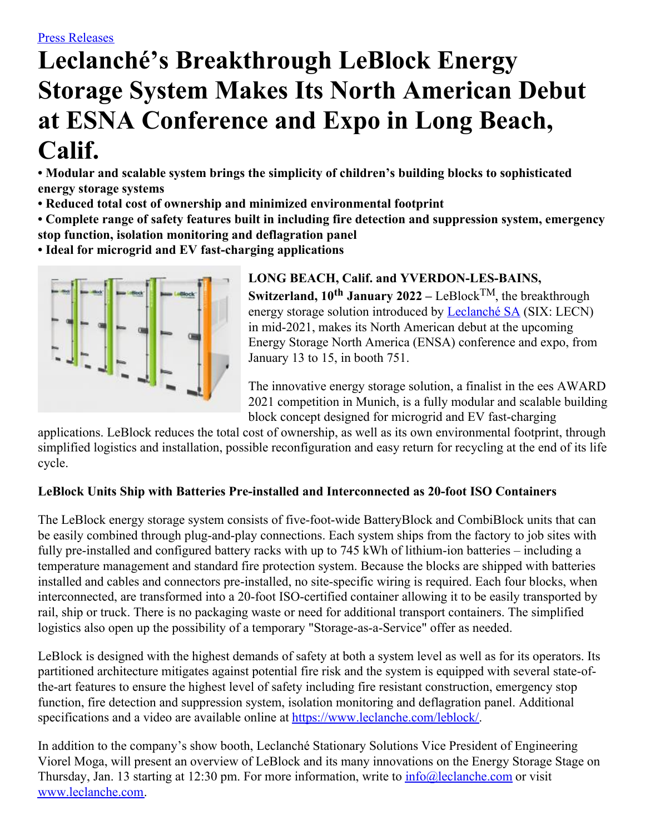# **Leclanché's Breakthrough LeBlock Energy Storage System Makes Its North American Debut at ESNA Conference and Expo in Long Beach, Calif.**

**• Modular and scalable system brings the simplicity of children's building blocks to sophisticated energy storage systems**

- **• Reduced total cost of ownership and minimized environmental footprint**
- **• Complete range of safety features built in including fire detection and suppression system, emergency stop function, isolation monitoring and deflagration panel**
- **• Ideal for microgrid and EV fast-charging applications**



# **LONG BEACH, Calif. and YVERDON-LES-BAINS, Switzerland, 10 th January 2022 –** LeBlock TM, the breakthrough energy storage solution introduced by [Leclanché](http://www.leclanche.com/) SA (SIX: LECN) in mid-2021, makes its North American debut at the upcoming Energy Storage North America (ENSA) conference and expo, from January 13 to 15, in booth 751.

The innovative energy storage solution, a finalist in the ees AWARD 2021 competition in Munich, is a fully modular and scalable building block concept designed for microgrid and EV fast-charging

applications. LeBlock reduces the total cost of ownership, as well as its own environmental footprint, through simplified logistics and installation, possible reconfiguration and easy return for recycling at the end of its life cycle.

# **LeBlock Units Ship with Batteries Pre-installed and Interconnected as 20-foot ISO Containers**

The LeBlock energy storage system consists of five-foot-wide BatteryBlock and CombiBlock units that can be easily combined through plug-and-play connections. Each system ships from the factory to job sites with fully pre-installed and configured battery racks with up to 745 kWh of lithium-ion batteries – including a temperature management and standard fire protection system. Because the blocks are shipped with batteries installed and cables and connectors pre-installed, no site-specific wiring is required. Each four blocks, when interconnected, are transformed into a 20-foot ISO-certified container allowing it to be easily transported by rail, ship or truck. There is no packaging waste or need for additional transport containers. The simplified logistics also open up the possibility of a temporary "Storage-as-a-Service" offer as needed.

LeBlock is designed with the highest demands of safety at both a system level as well as for its operators. Its partitioned architecture mitigates against potential fire risk and the system is equipped with several state-ofthe-art features to ensure the highest level of safety including fire resistant construction, emergency stop function, fire detection and suppression system, isolation monitoring and deflagration panel. Additional specifications and a video are available online at <https://www.leclanche.com/leblock/>.

In addition to the company's show booth, Leclanché Stationary Solutions Vice President of Engineering Viorel Moga, will present an overview of LeBlock and its many innovations on the Energy Storage Stage on Thursday, Jan. 13 starting at 12:30 pm. For more information, write to  $\frac{info@}{lechache.com}$  or visit [www.leclanche.com](http://www.leclanche.com/).